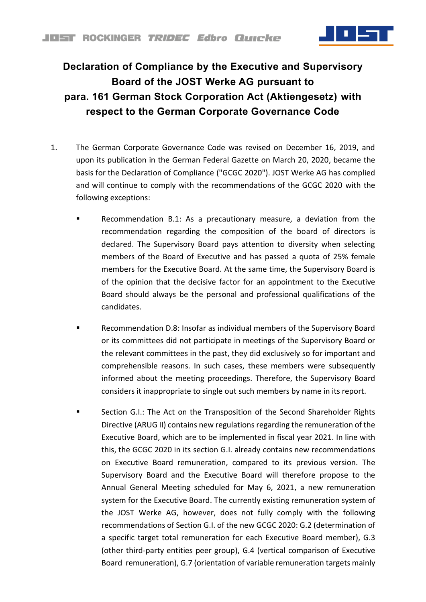

## **Declaration of Compliance by the Executive and Supervisory Board of the JOST Werke AG pursuant to para. 161 German Stock Corporation Act (Aktiengesetz) with respect to the German Corporate Governance Code**

- 1. The German Corporate Governance Code was revised on December 16, 2019, and upon its publication in the German Federal Gazette on March 20, 2020, became the basis for the Declaration of Compliance ("GCGC 2020"). JOST Werke AG has complied and will continue to comply with the recommendations of the GCGC 2020 with the following exceptions:
	- Recommendation B.1: As a precautionary measure, a deviation from the recommendation regarding the composition of the board of directors is declared. The Supervisory Board pays attention to diversity when selecting members of the Board of Executive and has passed a quota of 25% female members for the Executive Board. At the same time, the Supervisory Board is of the opinion that the decisive factor for an appointment to the Executive Board should always be the personal and professional qualifications of the candidates.
	- Recommendation D.8: Insofar as individual members of the Supervisory Board or its committees did not participate in meetings of the Supervisory Board or the relevant committees in the past, they did exclusively so for important and comprehensible reasons. In such cases, these members were subsequently informed about the meeting proceedings. Therefore, the Supervisory Board considers it inappropriate to single out such members by name in its report.
	- Section G.I.: The Act on the Transposition of the Second Shareholder Rights Directive (ARUG II) contains new regulations regarding the remuneration of the Executive Board, which are to be implemented in fiscal year 2021. In line with this, the GCGC 2020 in its section G.I. already contains new recommendations on Executive Board remuneration, compared to its previous version. The Supervisory Board and the Executive Board will therefore propose to the Annual General Meeting scheduled for May 6, 2021, a new remuneration system for the Executive Board. The currently existing remuneration system of the JOST Werke AG, however, does not fully comply with the following recommendations of Section G.I. of the new GCGC 2020: G.2 (determination of a specific target total remuneration for each Executive Board member), G.3 (other third-party entities peer group), G.4 (vertical comparison of Executive Board remuneration), G.7 (orientation of variable remuneration targets mainly